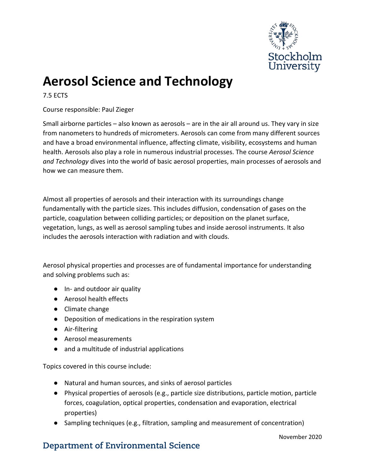

## **Aerosol Science and Technology**

7.5 ECTS

Course responsible: Paul Zieger

Small airborne particles – also known as aerosols – are in the air all around us. They vary in size from nanometers to hundreds of micrometers. Aerosols can come from many different sources and have a broad environmental influence, affecting climate, visibility, ecosystems and human health. Aerosols also play a role in numerous industrial processes. The course *Aerosol Science and Technology* dives into the world of basic aerosol properties, main processes of aerosols and how we can measure them.

Almost all properties of aerosols and their interaction with its surroundings change fundamentally with the particle sizes. This includes diffusion, condensation of gases on the particle, coagulation between colliding particles; or deposition on the planet surface, vegetation, lungs, as well as aerosol sampling tubes and inside aerosol instruments. It also includes the aerosols interaction with radiation and with clouds.

Aerosol physical properties and processes are of fundamental importance for understanding and solving problems such as:

- In- and outdoor air quality
- Aerosol health effects
- Climate change
- Deposition of medications in the respiration system
- Air-filtering
- Aerosol measurements
- and a multitude of industrial applications

Topics covered in this course include:

- Natural and human sources, and sinks of aerosol particles
- Physical properties of aerosols (e.g., particle size distributions, particle motion, particle forces, coagulation, optical properties, condensation and evaporation, electrical properties)
- Sampling techniques (e.g., filtration, sampling and measurement of concentration)

## **Department of Environmental Science**